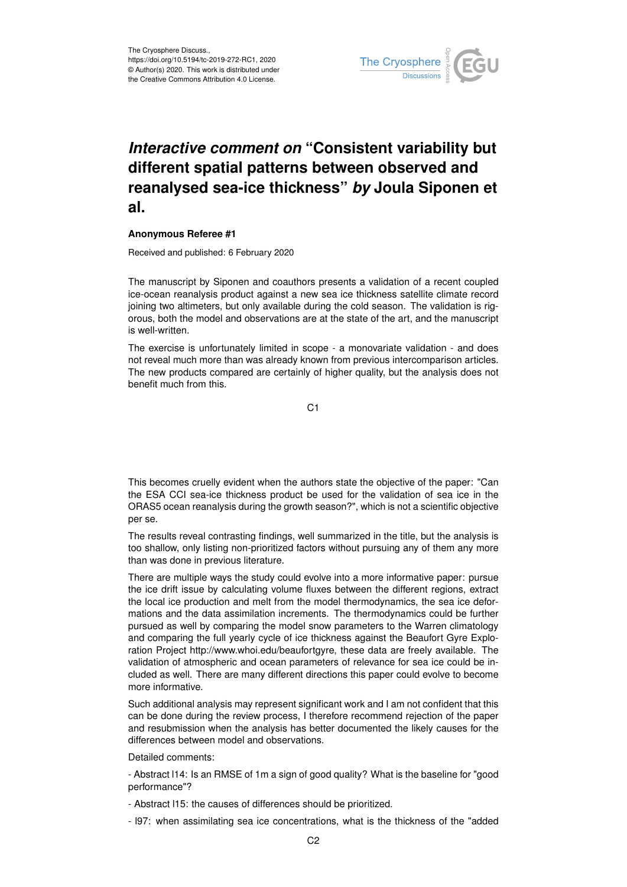

## *Interactive comment on* **"Consistent variability but different spatial patterns between observed and reanalysed sea-ice thickness"** *by* **Joula Siponen et al.**

## **Anonymous Referee #1**

Received and published: 6 February 2020

The manuscript by Siponen and coauthors presents a validation of a recent coupled ice-ocean reanalysis product against a new sea ice thickness satellite climate record joining two altimeters, but only available during the cold season. The validation is rigorous, both the model and observations are at the state of the art, and the manuscript is well-written.

The exercise is unfortunately limited in scope - a monovariate validation - and does not reveal much more than was already known from previous intercomparison articles. The new products compared are certainly of higher quality, but the analysis does not benefit much from this.

C1

This becomes cruelly evident when the authors state the objective of the paper: "Can the ESA CCI sea-ice thickness product be used for the validation of sea ice in the ORAS5 ocean reanalysis during the growth season?", which is not a scientific objective per se.

The results reveal contrasting findings, well summarized in the title, but the analysis is too shallow, only listing non-prioritized factors without pursuing any of them any more than was done in previous literature.

There are multiple ways the study could evolve into a more informative paper: pursue the ice drift issue by calculating volume fluxes between the different regions, extract the local ice production and melt from the model thermodynamics, the sea ice deformations and the data assimilation increments. The thermodynamics could be further pursued as well by comparing the model snow parameters to the Warren climatology and comparing the full yearly cycle of ice thickness against the Beaufort Gyre Exploration Project http://www.whoi.edu/beaufortgyre, these data are freely available. The validation of atmospheric and ocean parameters of relevance for sea ice could be included as well. There are many different directions this paper could evolve to become more informative.

Such additional analysis may represent significant work and I am not confident that this can be done during the review process, I therefore recommend rejection of the paper and resubmission when the analysis has better documented the likely causes for the differences between model and observations.

Detailed comments:

- Abstract l14: Is an RMSE of 1m a sign of good quality? What is the baseline for "good performance"?

- Abstract l15: the causes of differences should be prioritized.
- l97: when assimilating sea ice concentrations, what is the thickness of the "added